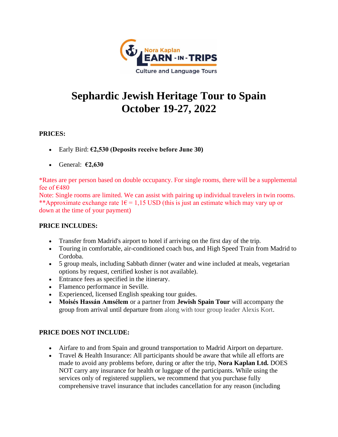

# **Sephardic Jewish Heritage Tour to Spain October 19-27, 2022**

## **PRICES:**

- Early Bird: **€2,530 (Deposits receive before June 30)**
- General: **€2,630**

\*Rates are per person based on double occupancy. For single rooms, there will be a supplemental fee of  $\epsilon$ 480

Note: Single rooms are limited. We can assist with pairing up individual travelers in twin rooms. \*\*Approximate exchange rate  $16 = 1,15$  USD (this is just an estimate which may vary up or down at the time of your payment)

### **PRICE INCLUDES:**

- Transfer from Madrid's airport to hotel if arriving on the first day of the trip.
- Touring in comfortable, air-conditioned coach bus, and High Speed Train from Madrid to Cordoba.
- 5 group meals, including Sabbath dinner (water and wine included at meals, vegetarian options by request, certified kosher is not available).
- Entrance fees as specified in the itinerary.
- Flamenco performance in Seville.
- Experienced, licensed English speaking tour guides.
- **Moisés Hassán Amsélem** or a partner from **Jewish Spain Tour** will accompany the group from arrival until departure from along with tour group leader Alexis Kort.

## **PRICE DOES NOT INCLUDE:**

- Airfare to and from Spain and ground transportation to Madrid Airport on departure.
- Travel & Health Insurance: All participants should be aware that while all efforts are made to avoid any problems before, during or after the trip, **Nora Kaplan Ltd.** DOES NOT carry any insurance for health or luggage of the participants. While using the services only of registered suppliers, we recommend that you purchase fully comprehensive travel insurance that includes cancellation for any reason (including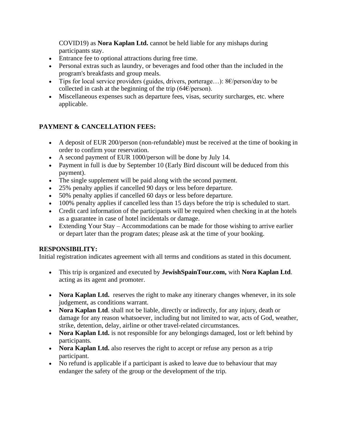COVID19) as **Nora Kaplan Ltd.** cannot be held liable for any mishaps during participants stay.

- Entrance fee to optional attractions during free time.
- Personal extras such as laundry, or beverages and food other than the included in the program's breakfasts and group meals.
- Tips for local service providers (guides, drivers, porterage...):  $8 \epsilon / \text{person/day}$  to be collected in cash at the beginning of the trip ( $64 \epsilon$ /person).
- Miscellaneous expenses such as departure fees, visas, security surcharges, etc. where applicable.

## **PAYMENT & CANCELLATION FEES:**

- A deposit of EUR 200/person (non-refundable) must be received at the time of booking in order to confirm your reservation.
- A second payment of EUR 1000/person will be done by July 14.
- Payment in full is due by September 10 (Early Bird discount will be deduced from this payment).
- The single supplement will be paid along with the second payment.
- 25% penalty applies if cancelled 90 days or less before departure.
- 50% penalty applies if cancelled 60 days or less before departure.
- 100% penalty applies if cancelled less than 15 days before the trip is scheduled to start.
- Credit card information of the participants will be required when checking in at the hotels as a guarantee in case of hotel incidentals or damage.
- Extending Your Stay Accommodations can be made for those wishing to arrive earlier or depart later than the program dates; please ask at the time of your booking.

### **RESPONSIBILITY:**

Initial registration indicates agreement with all terms and conditions as stated in this document.

- This trip is organized and executed by **JewishSpainTour.com,** with **Nora Kaplan Ltd**. acting as its agent and promoter.
- **Nora Kaplan Ltd.** reserves the right to make any itinerary changes whenever, in its sole judgement, as conditions warrant.
- **Nora Kaplan Ltd**. shall not be liable, directly or indirectly, for any injury, death or damage for any reason whatsoever, including but not limited to war, acts of God, weather, strike, detention, delay, airline or other travel-related circumstances.
- **Nora Kaplan Ltd.** is not responsible for any belongings damaged, lost or left behind by participants.
- **Nora Kaplan Ltd.** also reserves the right to accept or refuse any person as a trip participant.
- No refund is applicable if a participant is asked to leave due to behaviour that may endanger the safety of the group or the development of the trip.